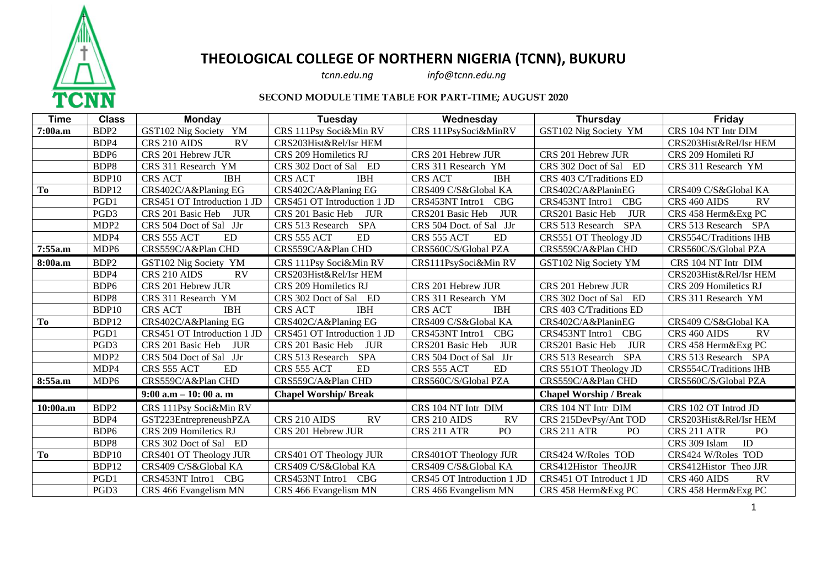

## **THEOLOGICAL COLLEGE OF NORTHERN NIGERIA (TCNN), BUKURU**<br>*tcnn.edu.ng info@tcnn.edu.ng*

*tcnn.edu.ng info@tcnn.edu.ng*

## **SECOND MODULE TIME TABLE FOR PART-TIME; AUGUST 2020**

| <b>Time</b> | <b>Class</b>     | <b>Monday</b>                   | Tuesday                         | Wednesday                      | <b>Thursday</b>                | Friday                         |
|-------------|------------------|---------------------------------|---------------------------------|--------------------------------|--------------------------------|--------------------------------|
| 7:00a.m     | BDP <sub>2</sub> | GST102 Nig Society YM           | CRS 111Psy Soci&Min RV          | CRS 111PsySoci&MinRV           | GST102 Nig Society YM          | CRS 104 NT Intr DIM            |
|             | BDP4             | RV<br>CRS 210 AIDS              | CRS203Hist&Rel/Isr HEM          |                                |                                | CRS203Hist&Rel/Isr HEM         |
|             | BDP <sub>6</sub> | CRS 201 Hebrew JUR              | CRS 209 Homiletics RJ           | CRS 201 Hebrew JUR             | CRS 201 Hebrew JUR             | CRS 209 Homileti RJ            |
|             | BDP8             | CRS 311 Research YM             | CRS 302 Doct of Sal ED          | CRS 311 Research YM            | CRS 302 Doct of Sal ED         | CRS 311 Research YM            |
|             | BDP10            | <b>CRS ACT</b><br><b>IBH</b>    | <b>CRS ACT</b><br><b>IBH</b>    | <b>CRS ACT</b><br><b>IBH</b>   | CRS 403 C/Traditions ED        |                                |
| To          | BDP12            | CRS402C/A&Planing EG            | CRS402C/A&Planing EG            | CRS409 C/S&Global KA           | CRS402C/A&PlaninEG             | CRS409 C/S&Global KA           |
|             | PGD1             | CRS451 OT Introduction 1 JD     | CRS451 OT Introduction 1 JD     | CBG<br>CRS453NT Intro1         | CRS453NT Intro1 CBG            | RV<br>CRS 460 AIDS             |
|             | PGD <sub>3</sub> | CRS 201 Basic Heb<br><b>JUR</b> | CRS 201 Basic Heb<br><b>JUR</b> | <b>JUR</b><br>CRS201 Basic Heb | CRS201 Basic Heb<br>JUR        | CRS 458 Herm&Exg PC            |
|             | MDP <sub>2</sub> | CRS 504 Doct of Sal JJr         | CRS 513 Research SPA            | CRS 504 Doct. of Sal JJr       | <b>SPA</b><br>CRS 513 Research | CRS 513 Research SPA           |
|             | MDP4             | ED.<br>CRS 555 ACT              | ED<br>CRS 555 ACT               | <b>ED</b><br>CRS 555 ACT       | CRS551 OT Theology JD          | CRS554C/Traditions IHB         |
| 7:55a.m     | MDP <sub>6</sub> | CRS559C/A&Plan CHD              | CRS559C/A&Plan CHD              | CRS560C/S/Global PZA           | CRS559C/A&Plan CHD             | CRS560C/S/Global PZA           |
| 8:00a.m     | BDP <sub>2</sub> | GST102 Nig Society YM           | CRS 111Psy Soci&Min RV          | CRS111PsySoci&Min RV           | GST102 Nig Society YM          | CRS 104 NT Intr DIM            |
|             | BDP4             | <b>RV</b><br>CRS 210 AIDS       | CRS203Hist&Rel/Isr HEM          |                                |                                | CRS203Hist&Rel/Isr HEM         |
|             | BDP <sub>6</sub> | CRS 201 Hebrew JUR              | CRS 209 Homiletics RJ           | CRS 201 Hebrew JUR             | CRS 201 Hebrew JUR             | CRS 209 Homiletics RJ          |
|             | BDP8             | CRS 311 Research YM             | CRS 302 Doct of Sal ED          | CRS 311 Research YM            | CRS 302 Doct of Sal ED         | CRS 311 Research YM            |
|             | BDP10            | <b>IBH</b><br><b>CRS ACT</b>    | CRS ACT<br><b>IBH</b>           | <b>IBH</b><br><b>CRS ACT</b>   | CRS 403 C/Traditions ED        |                                |
| To          | BDP12            | CRS402C/A&Planing EG            | CRS402C/A&Planing EG            | CRS409 C/S&Global KA           | CRS402C/A&PlaninEG             | CRS409 C/S&Global KA           |
|             | PGD1             | CRS451 OT Introduction 1 JD     | CRS451 OT Introduction 1 JD     | CRS453NT Intro1<br>CBG         | CRS453NT Intro1<br>CBG         | CRS 460 AIDS<br><b>RV</b>      |
|             | PGD <sub>3</sub> | CRS 201 Basic Heb<br><b>JUR</b> | CRS 201 Basic Heb JUR           | <b>JUR</b><br>CRS201 Basic Heb | JUR<br>CRS201 Basic Heb        | CRS 458 Herm&Exg PC            |
|             | MDP <sub>2</sub> | CRS 504 Doct of Sal JJr         | CRS 513 Research SPA            | CRS 504 Doct of Sal JJr        | CRS 513 Research<br><b>SPA</b> | CRS 513 Research SPA           |
|             | MDP4             | ED<br>CRS 555 ACT               | <b>ED</b><br>CRS 555 ACT        | CRS 555 ACT<br>ED              | CRS 551OT Theology JD          | CRS554C/Traditions IHB         |
| 8:55a.m     | MDP <sub>6</sub> | CRS559C/A&Plan CHD              | CRS559C/A&Plan CHD              | CRS560C/S/Global PZA           | CRS559C/A&Plan CHD             | CRS560C/S/Global PZA           |
|             |                  | $9:00$ a.m $-10:00$ a.m         | <b>Chapel Worship/ Break</b>    |                                | <b>Chapel Worship / Break</b>  |                                |
| 10:00a.m    | BDP <sub>2</sub> | CRS 111Psy Soci&Min RV          |                                 | CRS 104 NT Intr DIM            | CRS 104 NT Intr DIM            | CRS 102 OT Introd JD           |
|             | BDP4             | GST223EntrepreneushPZA          | RV<br>CRS 210 AIDS              | CRS 210 AIDS<br><b>RV</b>      | CRS 215DevPsy/Ant TOD          | CRS203Hist&Rel/Isr HEM         |
|             | BDP <sub>6</sub> | CRS 209 Homiletics RJ           | CRS 201 Hebrew JUR              | CRS 211 ATR<br>PO <sub>1</sub> | CRS 211 ATR<br>PO <sub>1</sub> | CRS 211 ATR<br>PO <sub>1</sub> |
|             | BDP8             | CRS 302 Doct of Sal ED          |                                 |                                |                                | ID<br>CRS 309 Islam            |
| <b>To</b>   | BDP10            | CRS401 OT Theology JUR          | CRS401 OT Theology JUR          | <b>CRS401OT Theology JUR</b>   | CRS424 W/Roles TOD             | CRS424 W/Roles TOD             |
|             | BDP12            | CRS409 C/S&Global KA            | CRS409 C/S&Global KA            | CRS409 C/S&Global KA           | CRS412Histor TheoJJR           | CRS412Histor Theo JJR          |
|             | PGD1             | CRS453NT Intro1<br><b>CBG</b>   | CRS453NT Intro1<br><b>CBG</b>   | CRS45 OT Introduction 1 JD     | CRS451 OT Introduct 1 JD       | CRS 460 AIDS<br>RV             |
|             | PGD3             | CRS 466 Evangelism MN           | CRS 466 Evangelism MN           | CRS 466 Evangelism MN          | CRS 458 Herm&Exg PC            | CRS 458 Herm&Exg PC            |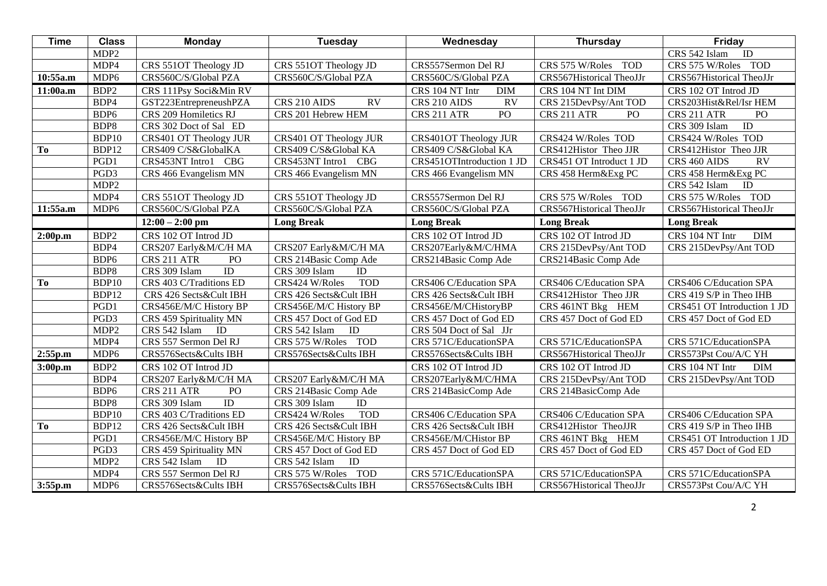| <b>Time</b> | <b>Class</b>     | Monday                           | Tuesday                      | Wednesday                     | Thursday                      | Friday                           |
|-------------|------------------|----------------------------------|------------------------------|-------------------------------|-------------------------------|----------------------------------|
|             | MDP <sub>2</sub> |                                  |                              |                               |                               | $\overline{ID}$<br>CRS 542 Islam |
|             | MDP4             | CRS 551OT Theology JD            | CRS 551OT Theology JD        | CRS557Sermon Del RJ           | CRS 575 W/Roles<br><b>TOD</b> | CRS 575 W/Roles TOD              |
| 10:55a.m    | MDP6             | CRS560C/S/Global PZA             | CRS560C/S/Global PZA         | CRS560C/S/Global PZA          | CRS567Historical TheoJJr      | CRS567Historical TheoJJr         |
| 11:00a.m    | BDP <sub>2</sub> | CRS 111Psy Soci&Min RV           |                              | CRS 104 NT Intr<br><b>DIM</b> | CRS 104 NT Int DIM            | CRS 102 OT Introd JD             |
|             | BDP4             | GST223EntrepreneushPZA           | CRS 210 AIDS<br><b>RV</b>    | <b>RV</b><br>CRS 210 AIDS     | CRS 215DevPsy/Ant TOD         | CRS203Hist&Rel/Isr HEM           |
|             | BDP6             | CRS 209 Homiletics RJ            | CRS 201 Hebrew HEM           | PO<br>CRS 211 ATR             | CRS 211 ATR<br>PO             | CRS 211 ATR<br>PO <sub>1</sub>   |
|             | BDP8             | CRS 302 Doct of Sal ED           |                              |                               |                               | ID<br>CRS 309 Islam              |
|             | BDP10            | CRS401 OT Theology JUR           | CRS401 OT Theology JUR       | CRS401OT Theology JUR         | CRS424 W/Roles TOD            | CRS424 W/Roles TOD               |
| To          | BDP12            | CRS409 C/S&GlobalKA              | CRS409 C/S&Global KA         | CRS409 C/S&Global KA          | CRS412Histor Theo JJR         | CRS412Histor Theo JJR            |
|             | PGD1             | CRS453NT Intro1<br><b>CBG</b>    | CRS453NT Intro1<br>CBG       | CRS451OTIntroduction 1 JD     | CRS451 OT Introduct 1 JD      | $\overline{RV}$<br>CRS 460 AIDS  |
|             | PGD <sub>3</sub> | CRS 466 Evangelism MN            | CRS 466 Evangelism MN        | CRS 466 Evangelism MN         | CRS 458 Herm&Exg PC           | CRS 458 Herm&Exg PC              |
|             | MDP <sub>2</sub> |                                  |                              |                               |                               | ID<br>CRS 542 Islam              |
|             | MDP4             | CRS 551OT Theology JD            | CRS 551OT Theology JD        | CRS557Sermon Del RJ           | <b>TOD</b><br>CRS 575 W/Roles | CRS 575 W/Roles TOD              |
| 11:55a.m    | MDP6             | CRS560C/S/Global PZA             | CRS560C/S/Global PZA         | CRS560C/S/Global PZA          | CRS567Historical TheoJJr      | CRS567Historical TheoJJr         |
|             |                  | $12:00 - 2:00$ pm                | <b>Long Break</b>            | <b>Long Break</b>             | <b>Long Break</b>             | <b>Long Break</b>                |
| 2:00p.m     | BDP <sub>2</sub> | CRS 102 OT Introd JD             |                              | CRS 102 OT Introd JD          | CRS 102 OT Introd JD          | <b>DIM</b><br>CRS 104 NT Intr    |
|             | BDP4             | CRS207 Early&M/C/H MA            | CRS207 Early&M/C/H MA        | CRS207Early&M/C/HMA           | CRS 215DevPsy/Ant TOD         | CRS 215DevPsy/Ant TOD            |
|             | BDP6             | PO<br>CRS 211 ATR                | CRS 214Basic Comp Ade        | CRS214Basic Comp Ade          | CRS214Basic Comp Ade          |                                  |
|             | BDP8             | $\overline{ID}$<br>CRS 309 Islam | ID<br>CRS 309 Islam          |                               |                               |                                  |
| To          | BDP10            | CRS 403 C/Traditions ED          | <b>TOD</b><br>CRS424 W/Roles | CRS406 C/Education SPA        | CRS406 C/Education SPA        | CRS406 C/Education SPA           |
|             | BDP12            | CRS 426 Sects&Cult IBH           | CRS 426 Sects&Cult IBH       | CRS 426 Sects&Cult IBH        | CRS412Histor Theo JJR         | CRS 419 S/P in Theo IHB          |
|             | PGD1             | CRS456E/M/C History BP           | CRS456E/M/C History BP       | CRS456E/M/CHistoryBP          | CRS 461NT Bkg HEM             | CRS451 OT Introduction 1 JD      |
|             | PGD3             | CRS 459 Spirituality MN          | CRS 457 Doct of God ED       | CRS 457 Doct of God ED        | CRS 457 Doct of God ED        | CRS 457 Doct of God ED           |
|             | MDP <sub>2</sub> | CRS 542 Islam<br>ID              | ID<br>CRS 542 Islam          | CRS 504 Doct of Sal JJr       |                               |                                  |
|             | MDP4             | CRS 557 Sermon Del RJ            | CRS 575 W/Roles TOD          | CRS 571C/EducationSPA         | CRS 571C/EducationSPA         | CRS 571C/EducationSPA            |
| 2:55p.m     | MDP6             | CRS576Sects&Cults IBH            | CRS576Sects&Cults IBH        | CRS576Sects&Cults IBH         | CRS567Historical TheoJJr      | CRS573Pst Cou/A/C YH             |
| 3:00p.m     | BDP <sub>2</sub> | CRS 102 OT Introd JD             |                              | CRS 102 OT Introd JD          | CRS 102 OT Introd JD          | CRS 104 NT Intr<br><b>DIM</b>    |
|             | BDP4             | CRS207 Early&M/C/H MA            | CRS207 Early&M/C/H MA        | CRS207Early&M/C/HMA           | CRS 215DevPsy/Ant TOD         | CRS 215DevPsy/Ant TOD            |
|             | BDP6             | PO<br>CRS 211 ATR                | CRS 214Basic Comp Ade        | CRS 214BasicComp Ade          | CRS 214BasicComp Ade          |                                  |
|             | BDP8             | $\overline{ID}$<br>CRS 309 Islam | ID<br>CRS 309 Islam          |                               |                               |                                  |
|             | BDP10            | CRS 403 C/Traditions ED          | <b>TOD</b><br>CRS424 W/Roles | <b>CRS406 C/Education SPA</b> | <b>CRS406 C/Education SPA</b> | CRS406 C/Education SPA           |
| To          | BDP12            | CRS 426 Sects&Cult IBH           | CRS 426 Sects&Cult IBH       | CRS 426 Sects&Cult IBH        | CRS412Histor TheoJJR          | CRS 419 S/P in Theo IHB          |
|             | PGD1             | CRS456E/M/C History BP           | CRS456E/M/C History BP       | CRS456E/M/CHistor BP          | CRS 461NT Bkg HEM             | CRS451 OT Introduction 1 JD      |
|             | PGD3             | CRS 459 Spirituality MN          | CRS 457 Doct of God ED       | CRS 457 Doct of God ED        | CRS 457 Doct of God ED        | CRS 457 Doct of God ED           |
|             | MDP <sub>2</sub> | ID<br>CRS 542 Islam              | ID<br>CRS 542 Islam          |                               |                               |                                  |
|             | MDP4             | CRS 557 Sermon Del RJ            | CRS 575 W/Roles TOD          | CRS 571C/EducationSPA         | CRS 571C/EducationSPA         | CRS 571C/EducationSPA            |
| 3:55p.m     | MDP6             | CRS576Sects&Cults IBH            | CRS576Sects&Cults IBH        | CRS576Sects&Cults IBH         | CRS567Historical TheoJJr      | CRS573Pst Cou/A/C YH             |